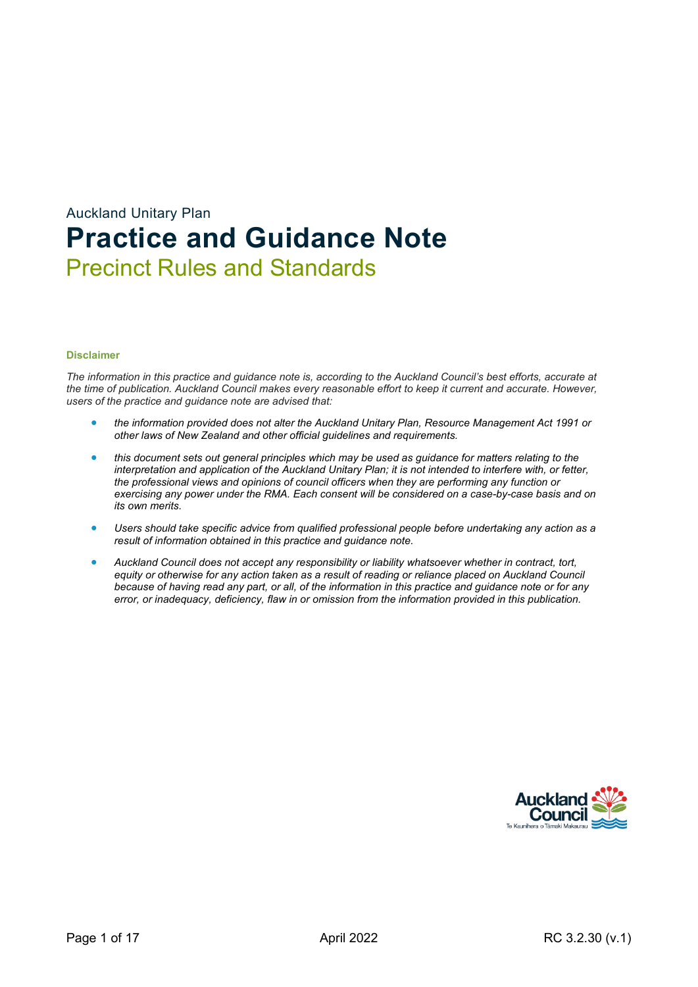# Auckland Unitary Plan **Practice and Guidance Note** Precinct Rules and Standards

#### <span id="page-0-0"></span>**Disclaimer**

*The information in this practice and guidance note is, according to the Auckland Council's best efforts, accurate at the time of publication. Auckland Council makes every reasonable effort to keep it current and accurate. However, users of the practice and guidance note are advised that:*

- *the information provided does not alter the Auckland Unitary Plan, Resource Management Act 1991 or other laws of New Zealand and other official guidelines and requirements.*
- *this document sets out general principles which may be used as guidance for matters relating to the interpretation and application of the Auckland Unitary Plan; it is not intended to interfere with, or fetter, the professional views and opinions of council officers when they are performing any function or exercising any power under the RMA. Each consent will be considered on a case-by-case basis and on its own merits.*
- *Users should take specific advice from qualified professional people before undertaking any action as a result of information obtained in this practice and guidance note.*
- *Auckland Council does not accept any responsibility or liability whatsoever whether in contract, tort, equity or otherwise for any action taken as a result of reading or reliance placed on Auckland Council because of having read any part, or all, of the information in this practice and guidance note or for any error, or inadequacy, deficiency, flaw in or omission from the information provided in this publication.*

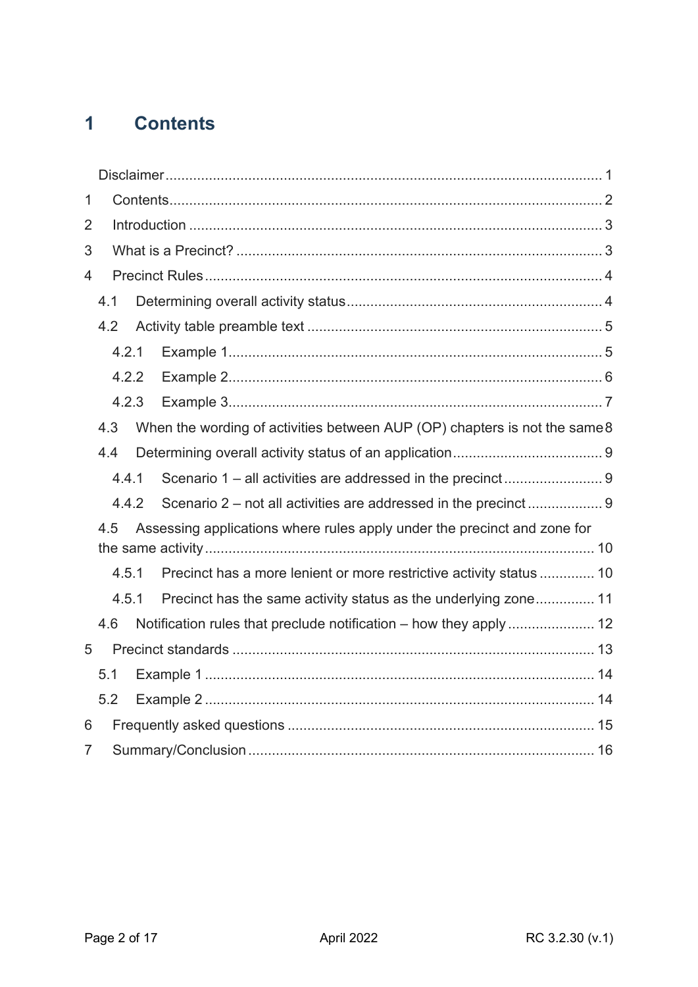# <span id="page-1-0"></span>**1 Contents**

| 1              |       |                                                                            |  |
|----------------|-------|----------------------------------------------------------------------------|--|
| 2              |       |                                                                            |  |
| 3              |       |                                                                            |  |
| 4              |       |                                                                            |  |
|                | 4.1   |                                                                            |  |
|                | 4.2   |                                                                            |  |
|                | 4.2.1 |                                                                            |  |
|                | 4.2.2 |                                                                            |  |
|                | 4.2.3 |                                                                            |  |
|                | 4.3   | When the wording of activities between AUP (OP) chapters is not the same 8 |  |
|                | 4.4   |                                                                            |  |
|                | 4.4.1 |                                                                            |  |
|                | 4.4.2 | Scenario 2 - not all activities are addressed in the precinct  9           |  |
|                | 4.5   | Assessing applications where rules apply under the precinct and zone for   |  |
|                | 4.5.1 | Precinct has a more lenient or more restrictive activity status  10        |  |
|                | 4.5.1 | Precinct has the same activity status as the underlying zone 11            |  |
|                | 4.6   | Notification rules that preclude notification - how they apply  12         |  |
| 5              |       |                                                                            |  |
|                | 5.1   |                                                                            |  |
|                | 5.2   |                                                                            |  |
| 6              |       |                                                                            |  |
| $\overline{7}$ |       |                                                                            |  |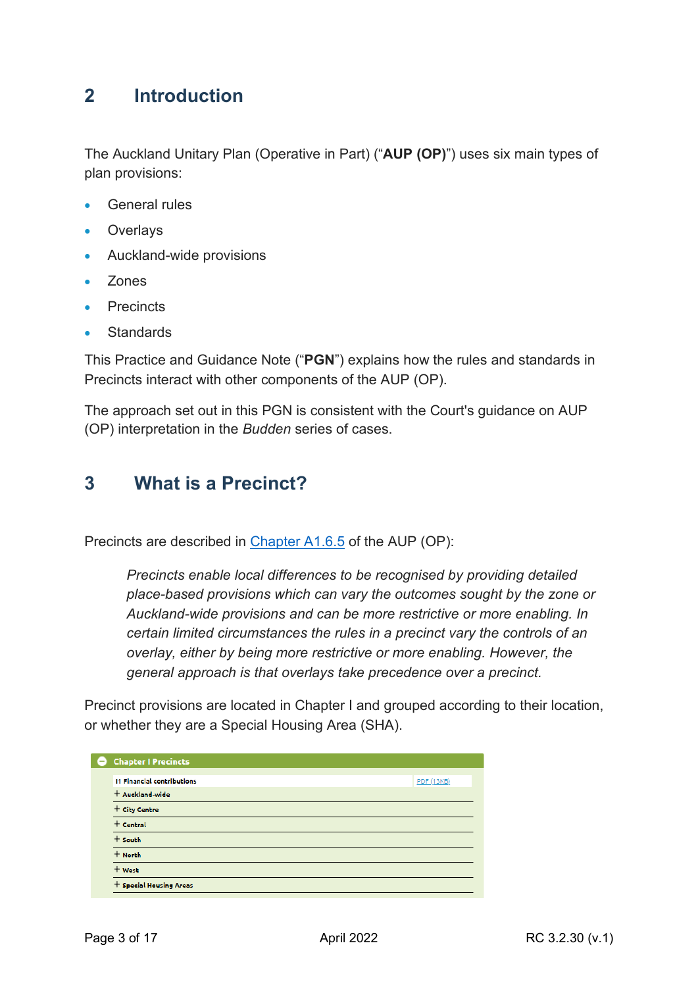### <span id="page-2-0"></span>**2 Introduction**

The Auckland Unitary Plan (Operative in Part) ("**AUP (OP)**") uses six main types of plan provisions:

- General rules
- **Overlavs**
- Auckland-wide provisions
- Zones
- **Precincts**
- **Standards**

This Practice and Guidance Note ("**PGN**") explains how the rules and standards in Precincts interact with other components of the AUP (OP).

The approach set out in this PGN is consistent with the Court's guidance on AUP (OP) interpretation in the *Budden* series of cases.

### <span id="page-2-1"></span>**3 What is a Precinct?**

Precincts are described in [Chapter A1](https://unitaryplan.aucklandcouncil.govt.nz/Images/Auckland%20Unitary%20Plan%20Operative/Chapter%20A%20Introduction/Chapter%20A%20Introduction.pdf).6.5 of the AUP (OP):

*Precincts enable local differences to be recognised by providing detailed place-based provisions which can vary the outcomes sought by the zone or Auckland-wide provisions and can be more restrictive or more enabling. In certain limited circumstances the rules in a precinct vary the controls of an overlay, either by being more restrictive or more enabling. However, the general approach is that overlays take precedence over a precinct.*

Precinct provisions are located in Chapter I and grouped according to their location, or whether they are a Special Housing Area (SHA).

| <b>11 Financial contributions</b> | <b>PDF</b> (13KB) |
|-----------------------------------|-------------------|
| $+$ Auckland-wide                 |                   |
| $+$ City Centre                   |                   |
| $+$ Central                       |                   |
| $+$ South                         |                   |
| $+$ North                         |                   |
| $+$ West                          |                   |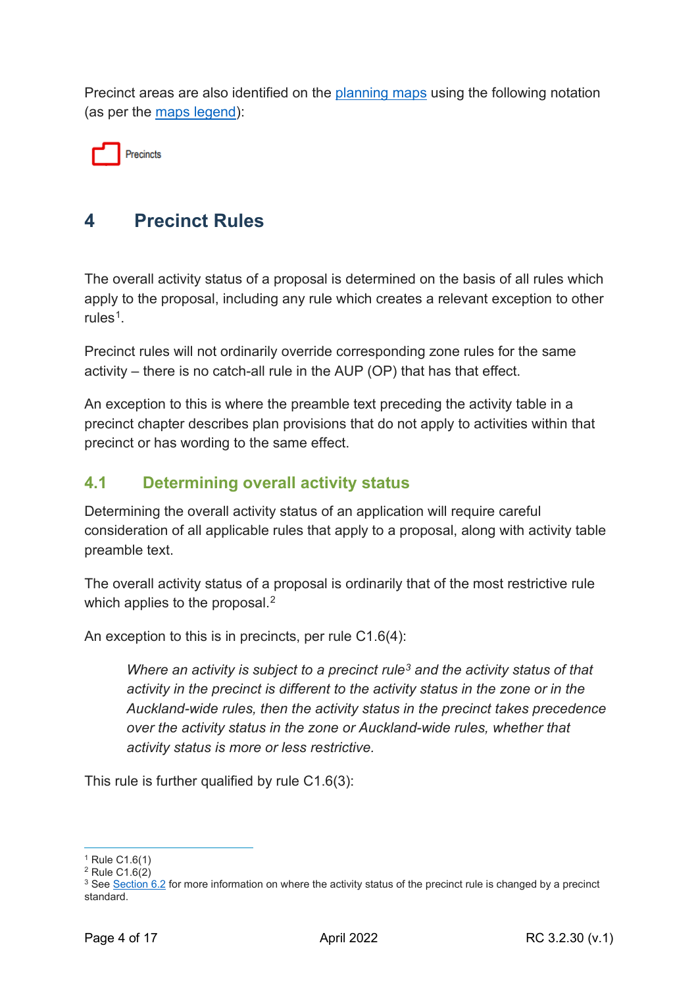Precinct areas are also identified on the [planning maps](https://unitaryplanmaps.aucklandcouncil.govt.nz/upviewer/) using the following notation (as per the [maps legend\)](https://mapspublic.aklc.govt.nz/portal/sharing/rest/content/items/6b1b28dc36264a4187dd52cb46101e39/data):



### <span id="page-3-0"></span>**4 Precinct Rules**

The overall activity status of a proposal is determined on the basis of all rules which apply to the proposal, including any rule which creates a relevant exception to other rules<sup>1</sup>

Precinct rules will not ordinarily override corresponding zone rules for the same activity – there is no catch-all rule in the AUP (OP) that has that effect.

An exception to this is where the preamble text preceding the activity table in a precinct chapter describes plan provisions that do not apply to activities within that precinct or has wording to the same effect.

### <span id="page-3-1"></span>**4.1 Determining overall activity status**

Determining the overall activity status of an application will require careful consideration of all applicable rules that apply to a proposal, along with activity table preamble text.

The overall activity status of a proposal is ordinarily that of the most restrictive rule which applies to the proposal.<sup>[2](#page-3-3)</sup>

An exception to this is in precincts, per rule C1.6(4):

*Where an activity is subject to a precinct rule[3](#page-3-4) and the activity status of that activity in the precinct is different to the activity status in the zone or in the Auckland-wide rules, then the activity status in the precinct takes precedence over the activity status in the zone or Auckland-wide rules, whether that activity status is more or less restrictive.*

This rule is further qualified by rule C1.6(3):

 $1$  Rule C1.6(1)

<span id="page-3-3"></span><span id="page-3-2"></span><sup>2</sup> Rule C1.6(2)

<span id="page-3-4"></span><sup>&</sup>lt;sup>3</sup> See [Section 6.2](#page-14-1) for more information on where the activity status of the precinct rule is changed by a precinct standard.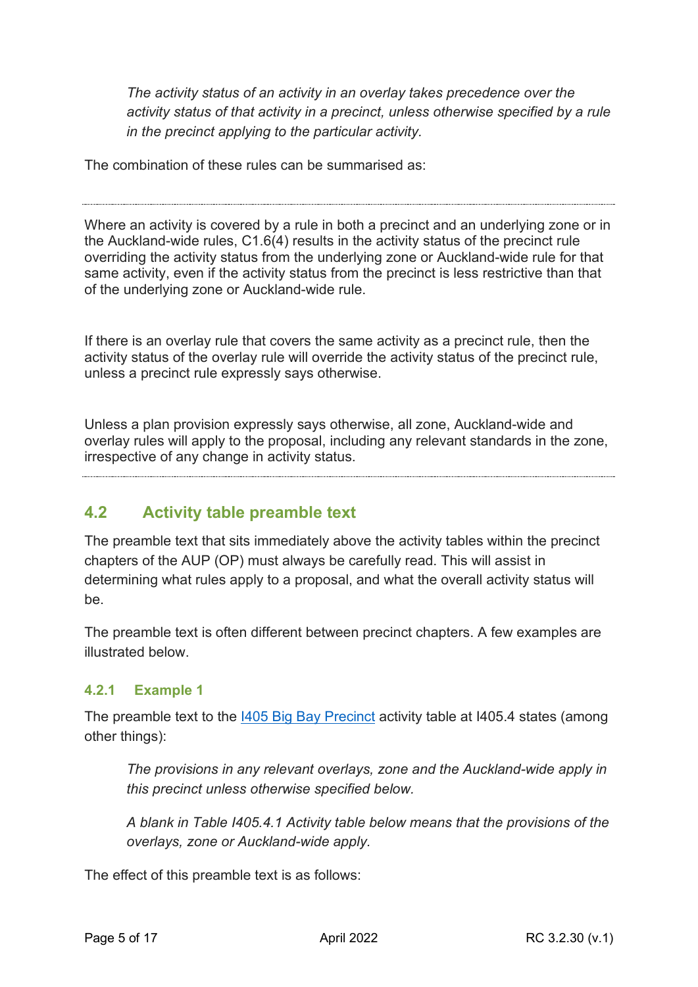*The activity status of an activity in an overlay takes precedence over the activity status of that activity in a precinct, unless otherwise specified by a rule in the precinct applying to the particular activity.*

The combination of these rules can be summarised as:

Where an activity is covered by a rule in both a precinct and an underlying zone or in the Auckland-wide rules, C1.6(4) results in the activity status of the precinct rule overriding the activity status from the underlying zone or Auckland-wide rule for that same activity, even if the activity status from the precinct is less restrictive than that of the underlying zone or Auckland-wide rule.

If there is an overlay rule that covers the same activity as a precinct rule, then the activity status of the overlay rule will override the activity status of the precinct rule, unless a precinct rule expressly says otherwise.

Unless a plan provision expressly says otherwise, all zone, Auckland-wide and overlay rules will apply to the proposal, including any relevant standards in the zone, irrespective of any change in activity status.

### <span id="page-4-0"></span>**4.2 Activity table preamble text**

The preamble text that sits immediately above the activity tables within the precinct chapters of the AUP (OP) must always be carefully read. This will assist in determining what rules apply to a proposal, and what the overall activity status will  $h$  $\theta$ .

The preamble text is often different between precinct chapters. A few examples are illustrated below.

#### <span id="page-4-1"></span>**4.2.1 Example 1**

The preamble text to the [I405 Big Bay Precinct](https://unitaryplan.aucklandcouncil.govt.nz/Images/Auckland%20Unitary%20Plan%20Operative/Chapter%20I%20Precincts/4.%20South/I405%20Big%20Bay%20Precinct.pdf) activity table at I405.4 states (among other things):

*The provisions in any relevant overlays, zone and the Auckland-wide apply in this precinct unless otherwise specified below.*

*A blank in Table I405.4.1 Activity table below means that the provisions of the overlays, zone or Auckland-wide apply.*

The effect of this preamble text is as follows: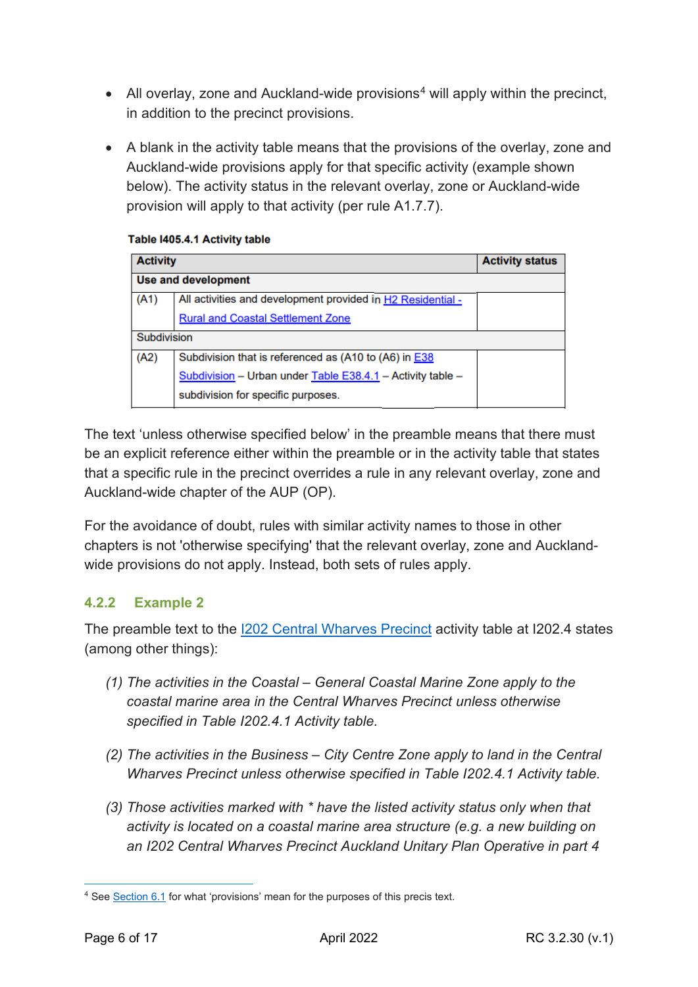- All overlay, zone and Auckland-wide provisions<sup>[4](#page-5-1)</sup> will apply within the precinct, in addition to the precinct provisions.
- A blank in the activity table means that the provisions of the overlay, zone and Auckland-wide provisions apply for that specific activity (example shown below). The activity status in the relevant overlay, zone or Auckland-wide provision will apply to that activity (per rule A1.7.7).

| <b>Activity</b>    |                                                             | <b>Activity status</b> |
|--------------------|-------------------------------------------------------------|------------------------|
|                    | <b>Use and development</b>                                  |                        |
| (A1)               | All activities and development provided in H2 Residential - |                        |
|                    | <b>Rural and Coastal Settlement Zone</b>                    |                        |
| <b>Subdivision</b> |                                                             |                        |
| (A2)               | Subdivision that is referenced as (A10 to (A6) in E38       |                        |
|                    | Subdivision - Urban under Table E38.4.1 - Activity table -  |                        |
|                    | subdivision for specific purposes.                          |                        |

#### Table I405.4.1 Activity table

The text 'unless otherwise specified below' in the preamble means that there must be an explicit reference either within the preamble or in the activity table that states that a specific rule in the precinct overrides a rule in any relevant overlay, zone and Auckland-wide chapter of the AUP (OP).

For the avoidance of doubt, rules with similar activity names to those in other chapters is not 'otherwise specifying' that the relevant overlay, zone and Aucklandwide provisions do not apply. Instead, both sets of rules apply.

#### <span id="page-5-0"></span>**4.2.2 Example 2**

The preamble text to the **1202 Central Wharves Precinct** activity table at I202.4 states (among other things):

- *(1) The activities in the Coastal General Coastal Marine Zone apply to the coastal marine area in the Central Wharves Precinct unless otherwise specified in Table I202.4.1 Activity table.*
- *(2) The activities in the Business City Centre Zone apply to land in the Central Wharves Precinct unless otherwise specified in Table I202.4.1 Activity table.*
- *(3) Those activities marked with \* have the listed activity status only when that activity is located on a coastal marine area structure (e.g. a new building on an I202 Central Wharves Precinct Auckland Unitary Plan Operative in part 4*

<span id="page-5-1"></span><sup>4</sup> See [Section 6.1](#page-14-2) for what 'provisions' mean for the purposes of this precis text.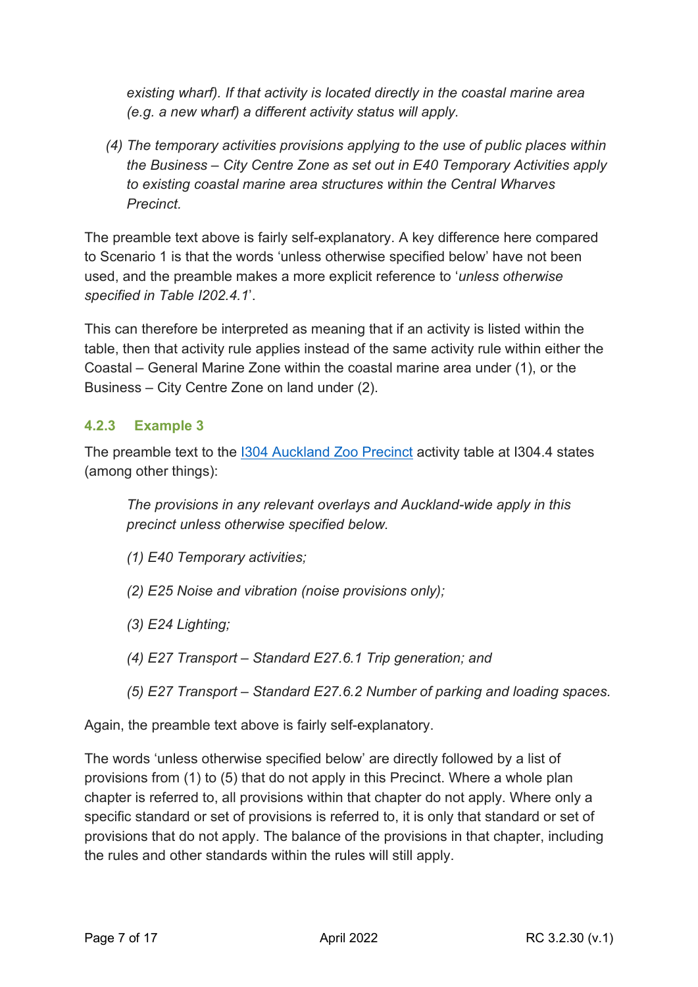*existing wharf). If that activity is located directly in the coastal marine area (e.g. a new wharf) a different activity status will apply.*

*(4) The temporary activities provisions applying to the use of public places within the Business – City Centre Zone as set out in E40 Temporary Activities apply to existing coastal marine area structures within the Central Wharves Precinct.* 

The preamble text above is fairly self-explanatory. A key difference here compared to Scenario 1 is that the words 'unless otherwise specified below' have not been used, and the preamble makes a more explicit reference to '*unless otherwise specified in Table I202.4.1*'.

This can therefore be interpreted as meaning that if an activity is listed within the table, then that activity rule applies instead of the same activity rule within either the Coastal – General Marine Zone within the coastal marine area under (1), or the Business – City Centre Zone on land under (2).

#### <span id="page-6-0"></span>**4.2.3 Example 3**

The preamble text to the 1304 Auckland Zoo Precinct activity table at I304.4 states (among other things):

*The provisions in any relevant overlays and Auckland-wide apply in this precinct unless otherwise specified below.*

- *(1) E40 Temporary activities;*
- *(2) E25 Noise and vibration (noise provisions only);*
- *(3) E24 Lighting;*
- *(4) E27 Transport Standard E27.6.1 Trip generation; and*
- *(5) E27 Transport Standard E27.6.2 Number of parking and loading spaces.*

Again, the preamble text above is fairly self-explanatory.

The words 'unless otherwise specified below' are directly followed by a list of provisions from (1) to (5) that do not apply in this Precinct. Where a whole plan chapter is referred to, all provisions within that chapter do not apply. Where only a specific standard or set of provisions is referred to, it is only that standard or set of provisions that do not apply. The balance of the provisions in that chapter, including the rules and other standards within the rules will still apply.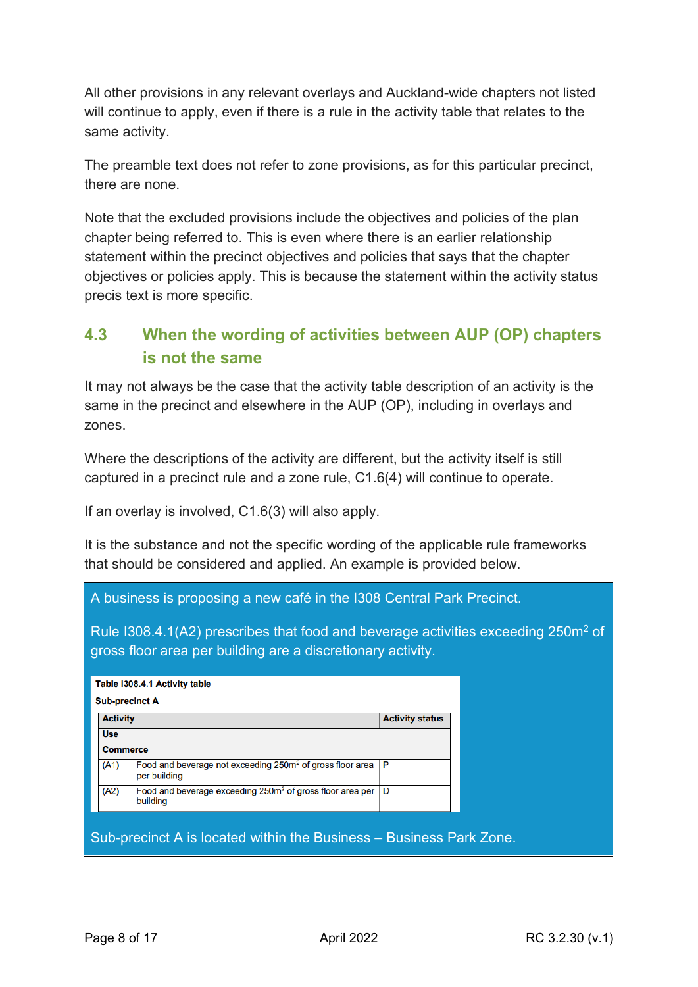All other provisions in any relevant overlays and Auckland-wide chapters not listed will continue to apply, even if there is a rule in the activity table that relates to the same activity.

The preamble text does not refer to zone provisions, as for this particular precinct, there are none.

Note that the excluded provisions include the objectives and policies of the plan chapter being referred to. This is even where there is an earlier relationship statement within the precinct objectives and policies that says that the chapter objectives or policies apply. This is because the statement within the activity status precis text is more specific.

### <span id="page-7-0"></span>**4.3 When the wording of activities between AUP (OP) chapters is not the same**

It may not always be the case that the activity table description of an activity is the same in the precinct and elsewhere in the AUP (OP), including in overlays and zones.

Where the descriptions of the activity are different, but the activity itself is still captured in a precinct rule and a zone rule, C1.6(4) will continue to operate.

If an overlay is involved, C1.6(3) will also apply.

It is the substance and not the specific wording of the applicable rule frameworks that should be considered and applied. An example is provided below.

A business is proposing a new café in the I308 Central Park Precinct.

Rule I308.4.1(A2) prescribes that food and beverage activities exceeding 250m<sup>2</sup> of gross floor area per building are a discretionary activity.

| <b>Sub-precinct A</b> | Table 1308.4.1 Activity table                                                         |   |  |  |  |
|-----------------------|---------------------------------------------------------------------------------------|---|--|--|--|
|                       | <b>Activity</b>                                                                       |   |  |  |  |
| <b>Use</b>            |                                                                                       |   |  |  |  |
|                       | <b>Commerce</b>                                                                       |   |  |  |  |
| (A1)                  | Food and beverage not exceeding 250m <sup>2</sup> of gross floor area<br>per building | P |  |  |  |
| (A2)                  | Food and beverage exceeding 250m <sup>2</sup> of gross floor area per<br>building     | D |  |  |  |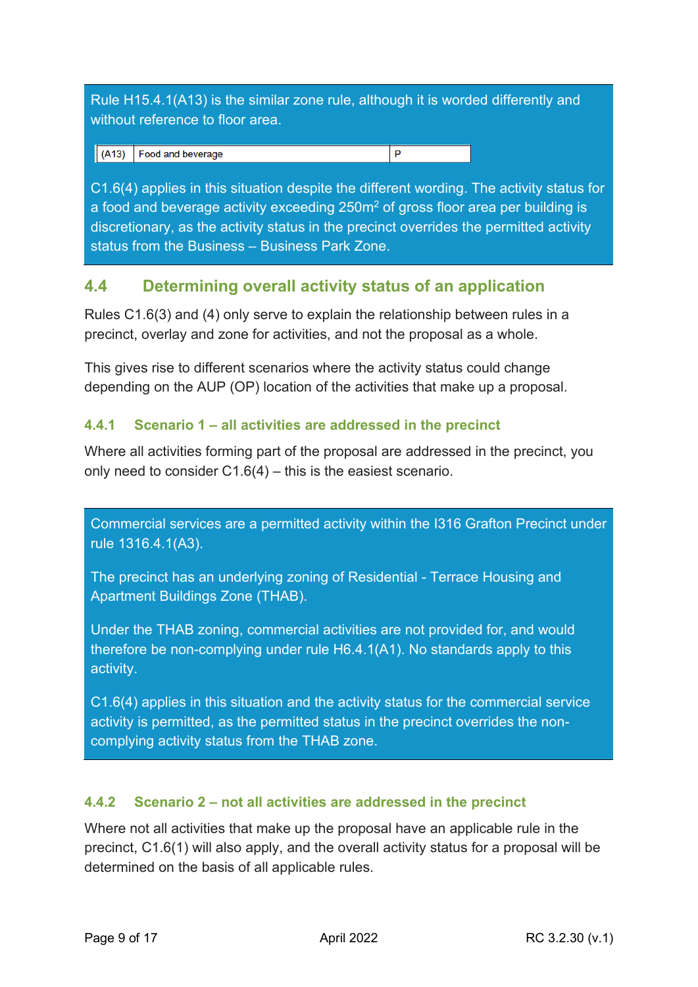Rule H15.4.1(A13) is the similar zone rule, although it is worded differently and without reference to floor area.

 $\vert$  (A13) Food and beverage

C1.6(4) applies in this situation despite the different wording. The activity status for a food and beverage activity exceeding  $250m^2$  of gross floor area per building is discretionary, as the activity status in the precinct overrides the permitted activity status from the Business – Business Park Zone.

 $\overline{P}$ 

### <span id="page-8-0"></span>**4.4 Determining overall activity status of an application**

Rules C1.6(3) and (4) only serve to explain the relationship between rules in a precinct, overlay and zone for activities, and not the proposal as a whole.

This gives rise to different scenarios where the activity status could change depending on the AUP (OP) location of the activities that make up a proposal.

#### <span id="page-8-1"></span>**4.4.1 Scenario 1 – all activities are addressed in the precinct**

Where all activities forming part of the proposal are addressed in the precinct, you only need to consider C1.6(4) – this is the easiest scenario.

Commercial services are a permitted activity within the I316 Grafton Precinct under rule 1316.4.1(A3).

The precinct has an underlying zoning of Residential - Terrace Housing and Apartment Buildings Zone (THAB).

Under the [THAB zoning,](https://unitaryplan.aucklandcouncil.govt.nz/Images/Auckland%20Unitary%20Plan%20Operative/Chapter%20H%20Zones/H6%20Residential%20-%20Terrace%20Housing%20and%20Apartment%20Buildings%20Zone.pdf) commercial activities are not provided for, and would therefore be non-complying under rule H6.4.1(A1). No standards apply to this activity.

C1.6(4) applies in this situation and the activity status for the commercial service activity is permitted, as the permitted status in the precinct overrides the noncomplying activity status from the THAB zone.

#### <span id="page-8-2"></span>**4.4.2 Scenario 2 – not all activities are addressed in the precinct**

Where not all activities that make up the proposal have an applicable rule in the precinct, C1.6(1) will also apply, and the overall activity status for a proposal will be determined on the basis of all applicable rules.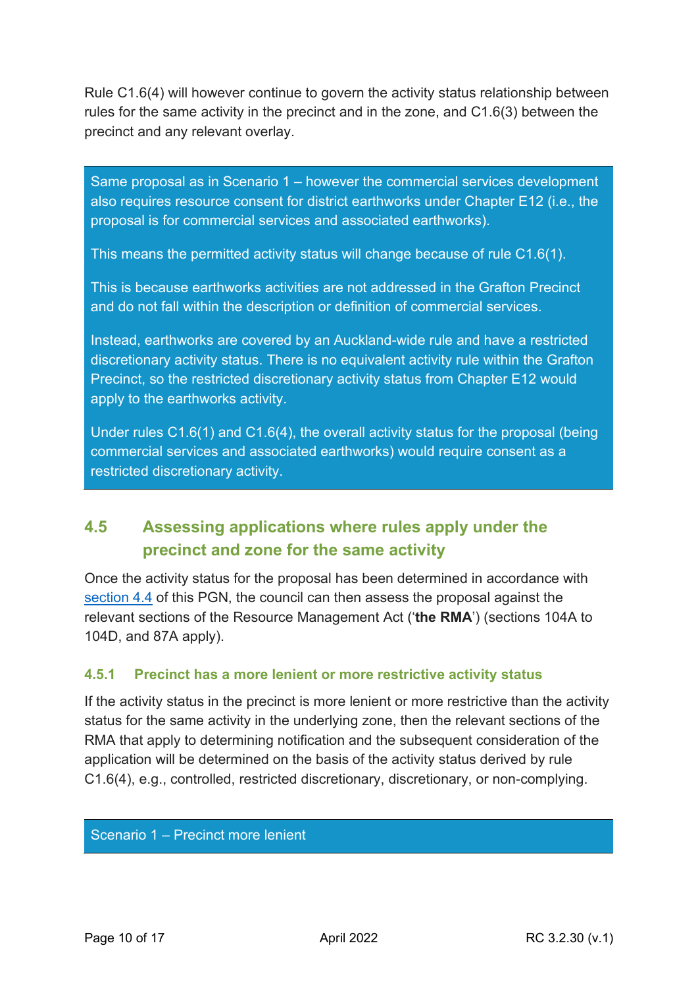Rule C1.6(4) will however continue to govern the activity status relationship between rules for the same activity in the precinct and in the zone, and C1.6(3) between the precinct and any relevant overlay.

Same proposal as in Scenario 1 – however the commercial services development also requires resource consent for district earthworks under Chapter E12 (i.e., the proposal is for commercial services and associated earthworks).

This means the permitted activity status will change because of rule C1.6(1).

This is because earthworks activities are not addressed in the Grafton Precinct and do not fall within the description or definition of commercial services.

Instead, earthworks are covered by an Auckland-wide rule and have a restricted discretionary activity status. There is no equivalent activity rule within the Grafton Precinct, so the restricted discretionary activity status from Chapter E12 would apply to the earthworks activity.

Under rules C1.6(1) and C1.6(4), the overall activity status for the proposal (being commercial services and associated earthworks) would require consent as a restricted discretionary activity.

### <span id="page-9-0"></span>**4.5 Assessing applications where rules apply under the precinct and zone for the same activity**

Once the activity status for the proposal has been determined in accordance with [section 4.4](#page-8-0) of this PGN, the council can then assess the proposal against the relevant sections of the Resource Management Act ('**the RMA**') (sections 104A to 104D, and 87A apply).

#### <span id="page-9-1"></span>**4.5.1 Precinct has a more lenient or more restrictive activity status**

If the activity status in the precinct is more lenient or more restrictive than the activity status for the same activity in the underlying zone, then the relevant sections of the RMA that apply to determining notification and the subsequent consideration of the application will be determined on the basis of the activity status derived by rule C1.6(4), e.g., controlled, restricted discretionary, discretionary, or non-complying.

#### Scenario 1 – Precinct more lenient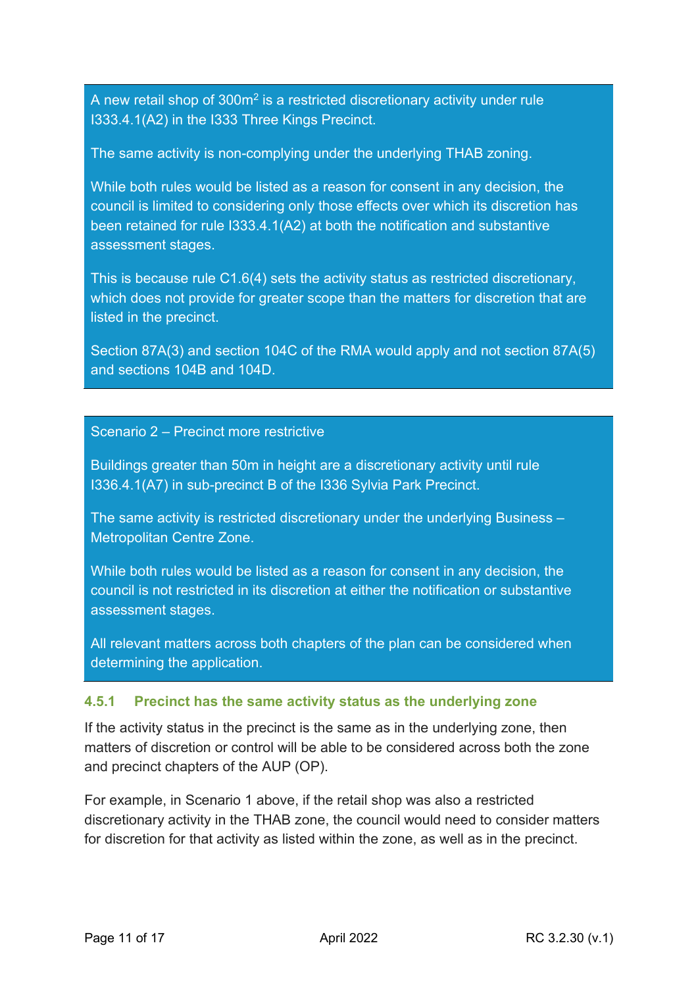A new retail shop of 300m<sup>2</sup> is a restricted discretionary activity under rule I333.4.1(A2) in the I333 Three Kings Precinct.

The same activity is non-complying under the underlying THAB zoning.

While both rules would be listed as a reason for consent in any decision, the council is limited to considering only those effects over which its discretion has been retained for rule I333.4.1(A2) at both the notification and substantive assessment stages.

This is because rule C1.6(4) sets the activity status as restricted discretionary, which does not provide for greater scope than the matters for discretion that are listed in the precinct.

Section 87A(3) and section 104C of the RMA would apply and not section 87A(5) and sections 104B and 104D.

#### Scenario 2 – Precinct more restrictive

Buildings greater than 50m in height are a discretionary activity until rule I336.4.1(A7) in sub-precinct B of the I336 Sylvia Park Precinct.

The same activity is restricted discretionary under the underlying Business – Metropolitan Centre Zone.

While both rules would be listed as a reason for consent in any decision, the council is not restricted in its discretion at either the notification or substantive assessment stages.

All relevant matters across both chapters of the plan can be considered when determining the application.

#### <span id="page-10-0"></span>**4.5.1 Precinct has the same activity status as the underlying zone**

If the activity status in the precinct is the same as in the underlying zone, then matters of discretion or control will be able to be considered across both the zone and precinct chapters of the AUP (OP).

For example, in Scenario 1 above, if the retail shop was also a restricted discretionary activity in the THAB zone, the council would need to consider matters for discretion for that activity as listed within the zone, as well as in the precinct.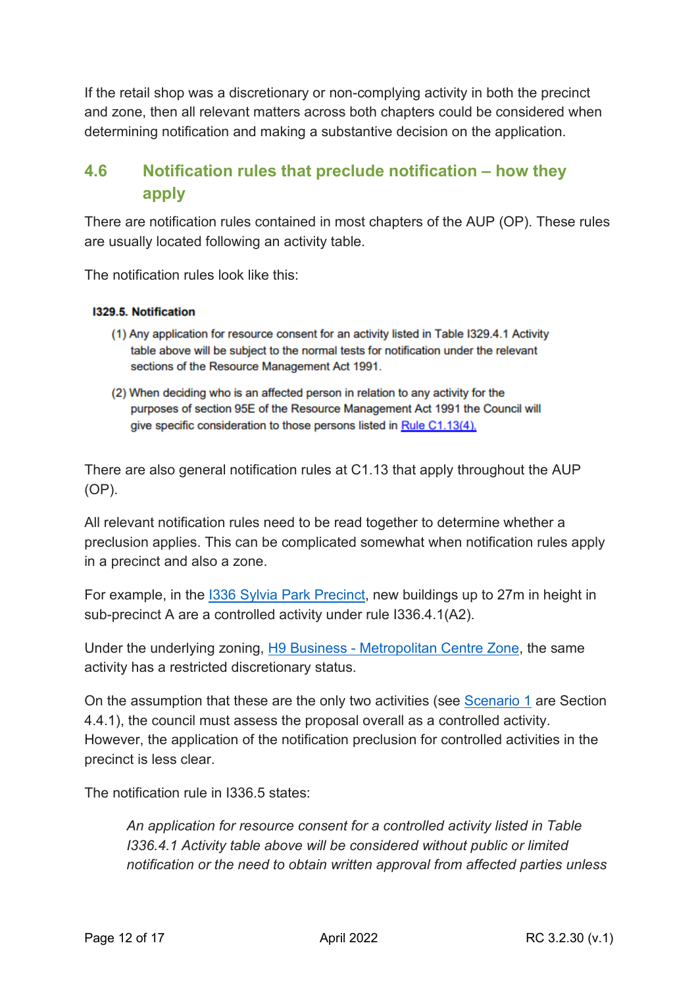If the retail shop was a discretionary or non-complying activity in both the precinct and zone, then all relevant matters across both chapters could be considered when determining notification and making a substantive decision on the application.

### <span id="page-11-0"></span>**4.6 Notification rules that preclude notification – how they apply**

There are notification rules contained in most chapters of the AUP (OP). These rules are usually located following an activity table.

The notification rules look like this:

#### 1329.5. Notification

- (1) Any application for resource consent for an activity listed in Table I329.4.1 Activity table above will be subject to the normal tests for notification under the relevant sections of the Resource Management Act 1991.
- (2) When deciding who is an affected person in relation to any activity for the purposes of section 95E of the Resource Management Act 1991 the Council will give specific consideration to those persons listed in Rule C1.13(4).

There are also general notification rules at C1.13 that apply throughout the AUP (OP).

All relevant notification rules need to be read together to determine whether a preclusion applies. This can be complicated somewhat when notification rules apply in a precinct and also a zone.

For example, in the 1336 Sylvia Park Precinct, new buildings up to 27m in height in sub-precinct A are a controlled activity under rule I336.4.1(A2).

Under the underlying zoning, [H9 Business - Metropolitan Centre Zone,](https://unitaryplan.aucklandcouncil.govt.nz/Images/Auckland%20Unitary%20Plan%20Operative/Chapter%20H%20Zones/H9%20Business%20-%20Metropolitan%20Centre%20Zone.pdf) the same activity has a restricted discretionary status.

On the assumption that these are the only two activities (see [Scenario 1](#page-8-1) are Section 4.4.1), the council must assess the proposal overall as a controlled activity. However, the application of the notification preclusion for controlled activities in the precinct is less clear.

The notification rule in I336.5 states:

*An application for resource consent for a controlled activity listed in Table I336.4.1 Activity table above will be considered without public or limited notification or the need to obtain written approval from affected parties unless*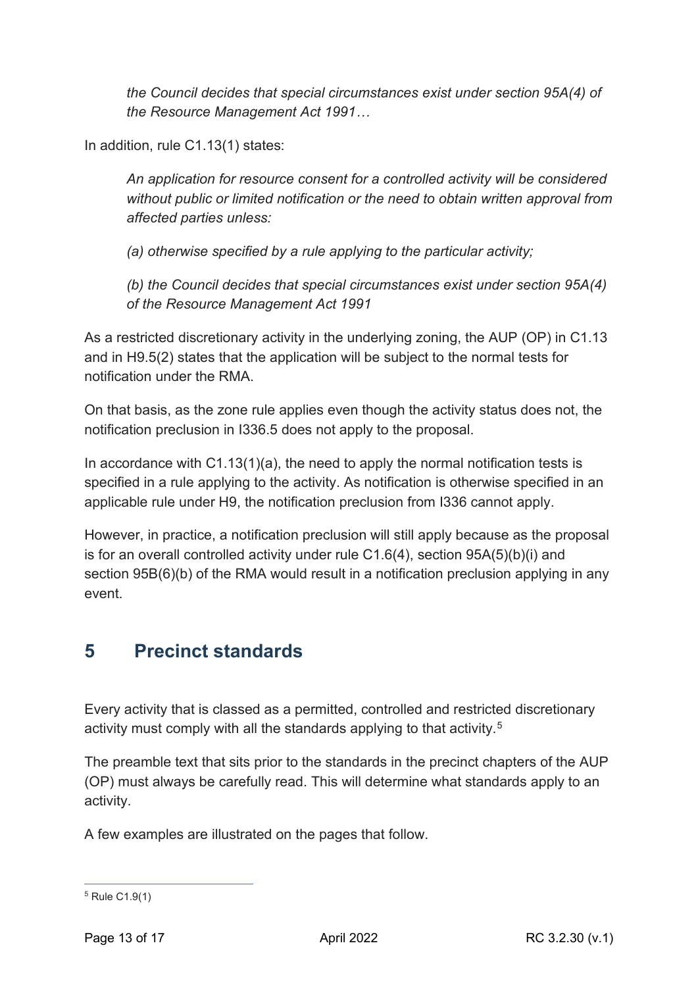*the Council decides that special circumstances exist under section 95A(4) of the Resource Management Act 1991…*

In addition, rule C1.13(1) states:

*An application for resource consent for a controlled activity will be considered without public or limited notification or the need to obtain written approval from affected parties unless:*

*(a) otherwise specified by a rule applying to the particular activity;* 

*(b) the Council decides that special circumstances exist under section 95A(4) of the Resource Management Act 1991*

As a restricted discretionary activity in the underlying zoning, the AUP (OP) in C1.13 and in H9.5(2) states that the application will be subject to the normal tests for notification under the RMA.

On that basis, as the zone rule applies even though the activity status does not, the notification preclusion in I336.5 does not apply to the proposal.

In accordance with  $C1.13(1)(a)$ , the need to apply the normal notification tests is specified in a rule applying to the activity. As notification is otherwise specified in an applicable rule under H9, the notification preclusion from I336 cannot apply.

However, in practice, a notification preclusion will still apply because as the proposal is for an overall controlled activity under rule C1.6(4), section 95A(5)(b)(i) and section 95B(6)(b) of the RMA would result in a notification preclusion applying in any event.

# <span id="page-12-0"></span>**5 Precinct standards**

Every activity that is classed as a permitted, controlled and restricted discretionary activity must comply with all the standards applying to that activity.<sup>[5](#page-12-1)</sup>

The preamble text that sits prior to the standards in the precinct chapters of the AUP (OP) must always be carefully read. This will determine what standards apply to an activity.

A few examples are illustrated on the pages that follow.

<span id="page-12-1"></span><sup>5</sup> Rule C1.9(1)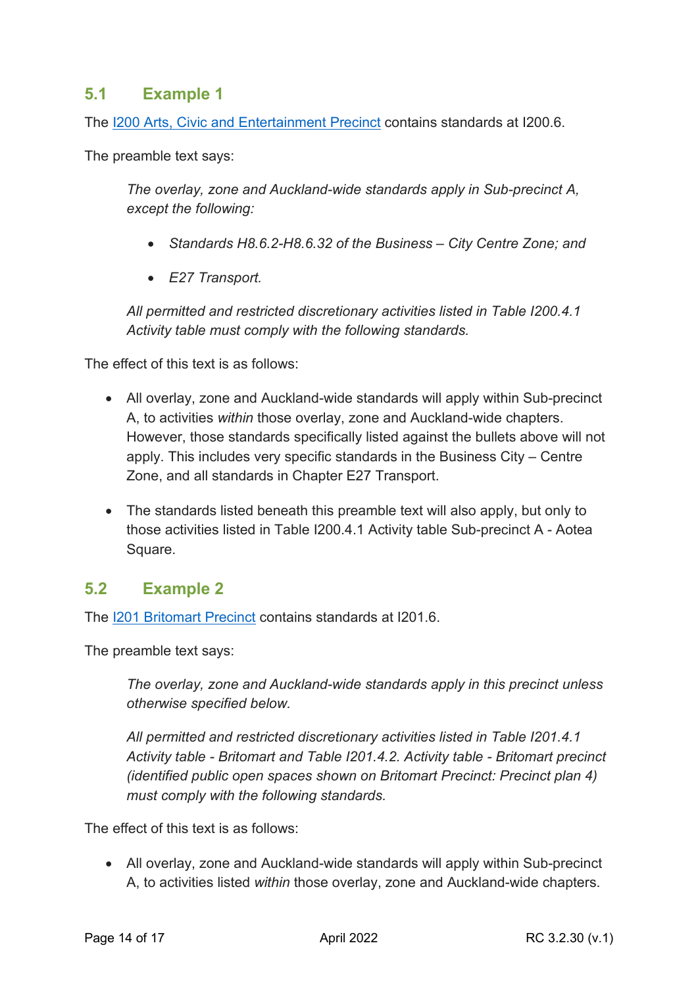### <span id="page-13-0"></span>**5.1 Example 1**

The [I200 Arts, Civic and Entertainment Precinct](https://unitaryplan.aucklandcouncil.govt.nz/Images/Auckland%20Unitary%20Plan%20Operative/Chapter%20I%20Precincts/2.%20City%20Centre/I200%20Arts%20Civic%20and%20Entertainment%20Precinct.pdf) contains standards at I200.6.

The preamble text says:

*The overlay, zone and Auckland-wide standards apply in Sub-precinct A, except the following:*

- *Standards H8.6.2-H8.6.32 of the Business City Centre Zone; and*
- *E27 Transport.*

*All permitted and restricted discretionary activities listed in Table I200.4.1 Activity table must comply with the following standards.*

The effect of this text is as follows:

- All overlay, zone and Auckland-wide standards will apply within Sub-precinct A, to activities *within* those overlay, zone and Auckland-wide chapters. However, those standards specifically listed against the bullets above will not apply. This includes very specific standards in the Business City – Centre Zone, and all standards in Chapter E27 Transport.
- The standards listed beneath this preamble text will also apply, but only to those activities listed in Table I200.4.1 Activity table Sub-precinct A - Aotea Square.

#### <span id="page-13-1"></span>**5.2 Example 2**

The [I201 Britomart Precinct](https://unitaryplan.aucklandcouncil.govt.nz/Images/Auckland%20Unitary%20Plan%20Operative/Chapter%20I%20Precincts/2.%20City%20Centre/I201%20Britomart%20Precinct.pdf) contains standards at I201.6.

The preamble text says:

*The overlay, zone and Auckland-wide standards apply in this precinct unless otherwise specified below.*

*All permitted and restricted discretionary activities listed in Table I201.4.1 Activity table - Britomart and Table I201.4.2. Activity table - Britomart precinct (identified public open spaces shown on Britomart Precinct: Precinct plan 4) must comply with the following standards.*

The effect of this text is as follows:

• All overlay, zone and Auckland-wide standards will apply within Sub-precinct A, to activities listed *within* those overlay, zone and Auckland-wide chapters.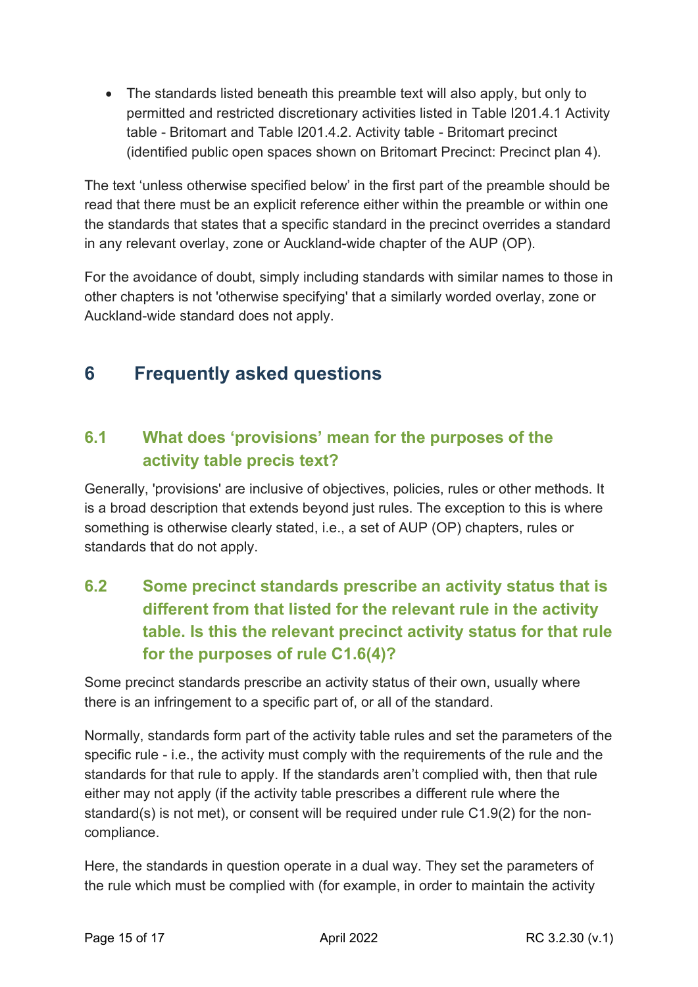• The standards listed beneath this preamble text will also apply, but only to permitted and restricted discretionary activities listed in Table I201.4.1 Activity table - Britomart and Table I201.4.2. Activity table - Britomart precinct (identified public open spaces shown on Britomart Precinct: Precinct plan 4).

The text 'unless otherwise specified below' in the first part of the preamble should be read that there must be an explicit reference either within the preamble or within one the standards that states that a specific standard in the precinct overrides a standard in any relevant overlay, zone or Auckland-wide chapter of the AUP (OP).

For the avoidance of doubt, simply including standards with similar names to those in other chapters is not 'otherwise specifying' that a similarly worded overlay, zone or Auckland-wide standard does not apply.

# <span id="page-14-0"></span>**6 Frequently asked questions**

### <span id="page-14-2"></span>**6.1 What does 'provisions' mean for the purposes of the activity table precis text?**

Generally, 'provisions' are inclusive of objectives, policies, rules or other methods. It is a broad description that extends beyond just rules. The exception to this is where something is otherwise clearly stated, i.e., a set of AUP (OP) chapters, rules or standards that do not apply.

## <span id="page-14-1"></span>**6.2 Some precinct standards prescribe an activity status that is different from that listed for the relevant rule in the activity table. Is this the relevant precinct activity status for that rule for the purposes of rule C1.6(4)?**

Some precinct standards prescribe an activity status of their own, usually where there is an infringement to a specific part of, or all of the standard.

Normally, standards form part of the activity table rules and set the parameters of the specific rule - i.e., the activity must comply with the requirements of the rule and the standards for that rule to apply. If the standards aren't complied with, then that rule either may not apply (if the activity table prescribes a different rule where the standard(s) is not met), or consent will be required under rule C1.9(2) for the noncompliance.

Here, the standards in question operate in a dual way. They set the parameters of the rule which must be complied with (for example, in order to maintain the activity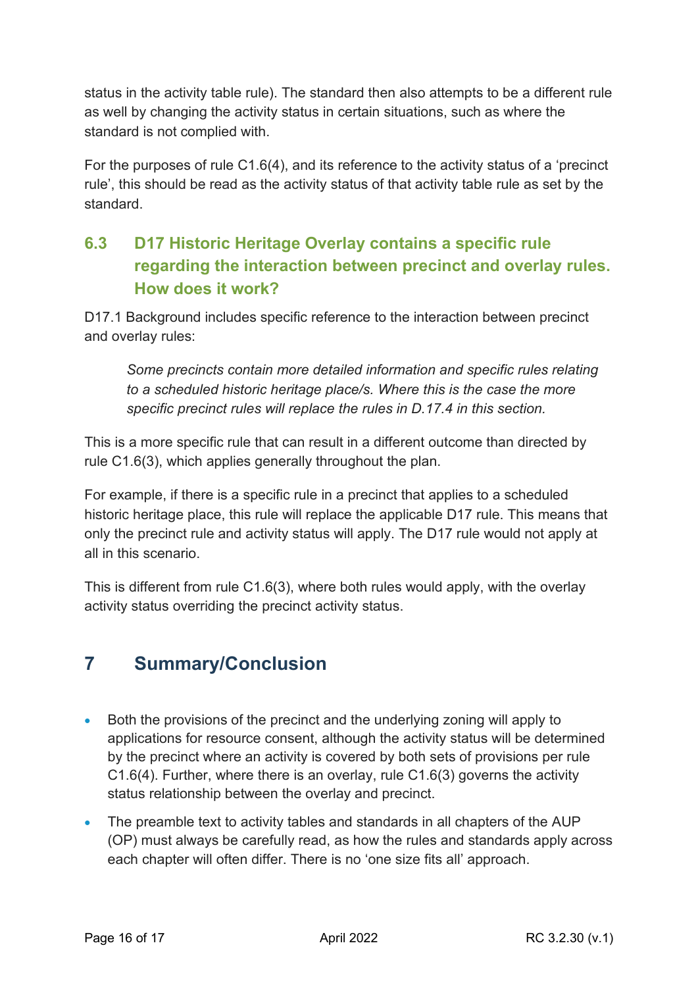status in the activity table rule). The standard then also attempts to be a different rule as well by changing the activity status in certain situations, such as where the standard is not complied with.

For the purposes of rule C1.6(4), and its reference to the activity status of a 'precinct rule', this should be read as the activity status of that activity table rule as set by the standard.

### **6.3 D17 Historic Heritage Overlay contains a specific rule regarding the interaction between precinct and overlay rules. How does it work?**

D17.1 Background includes specific reference to the interaction between precinct and overlay rules:

*Some precincts contain more detailed information and specific rules relating to a scheduled historic heritage place/s. Where this is the case the more specific precinct rules will replace the rules in D.17.4 in this section.*

This is a more specific rule that can result in a different outcome than directed by rule C1.6(3), which applies generally throughout the plan.

For example, if there is a specific rule in a precinct that applies to a scheduled historic heritage place, this rule will replace the applicable D17 rule. This means that only the precinct rule and activity status will apply. The D17 rule would not apply at all in this scenario.

This is different from rule C1.6(3), where both rules would apply, with the overlay activity status overriding the precinct activity status.

# <span id="page-15-0"></span>**7 Summary/Conclusion**

- Both the provisions of the precinct and the underlying zoning will apply to applications for resource consent, although the activity status will be determined by the precinct where an activity is covered by both sets of provisions per rule C1.6(4). Further, where there is an overlay, rule C1.6(3) governs the activity status relationship between the overlay and precinct.
- The preamble text to activity tables and standards in all chapters of the AUP (OP) must always be carefully read, as how the rules and standards apply across each chapter will often differ. There is no 'one size fits all' approach.